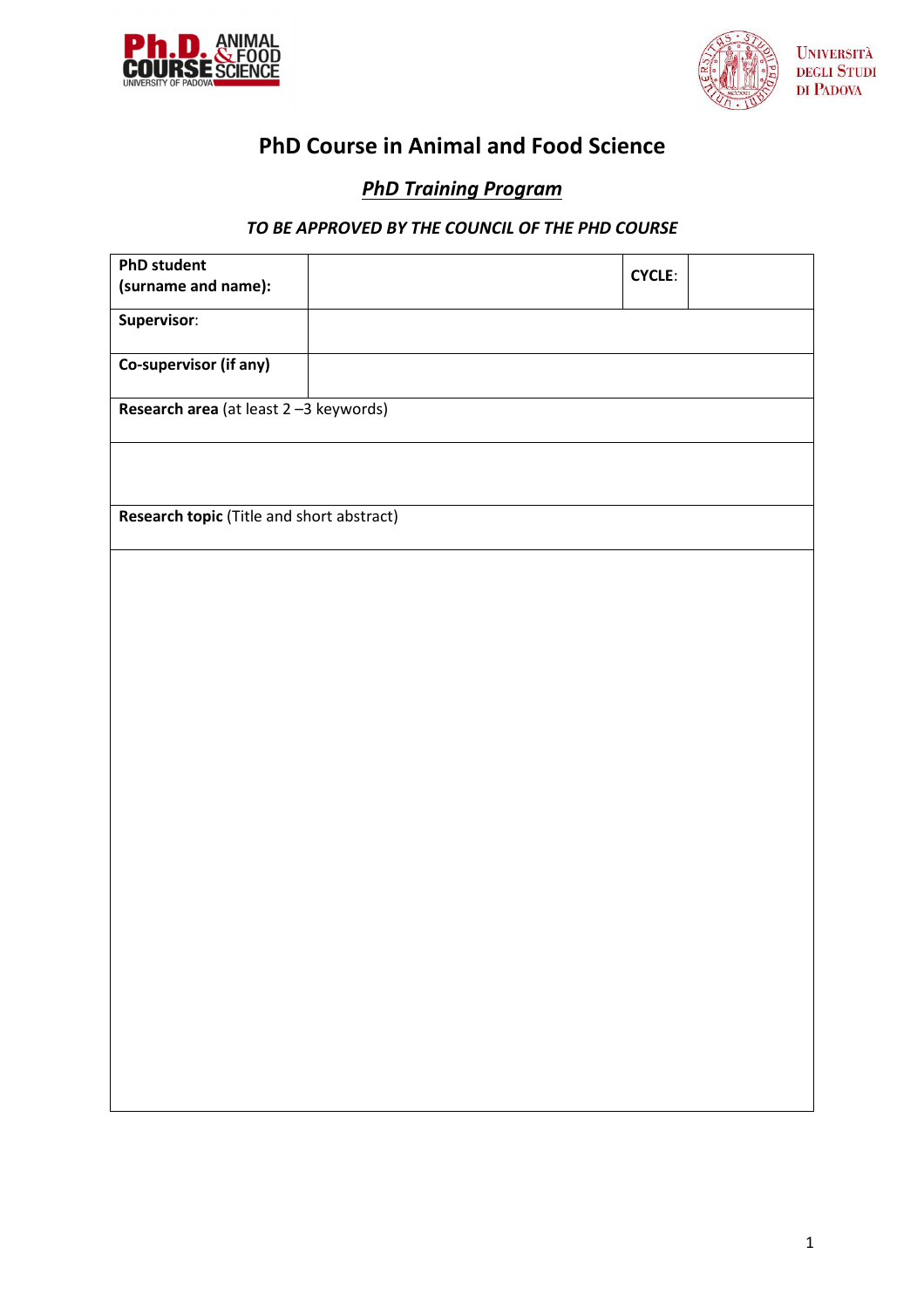



# **PhD Course in Animal and Food Science**

# *PhD Training Program*

# *TO BE APPROVED BY THE COUNCIL OF THE PHD COURSE*

| <b>PhD student</b>                        |  | <b>CYCLE:</b> |  |
|-------------------------------------------|--|---------------|--|
| (surname and name):                       |  |               |  |
| Supervisor:                               |  |               |  |
|                                           |  |               |  |
| Co-supervisor (if any)                    |  |               |  |
|                                           |  |               |  |
| Research area (at least 2-3 keywords)     |  |               |  |
|                                           |  |               |  |
|                                           |  |               |  |
|                                           |  |               |  |
|                                           |  |               |  |
| Research topic (Title and short abstract) |  |               |  |
|                                           |  |               |  |
|                                           |  |               |  |
|                                           |  |               |  |
|                                           |  |               |  |
|                                           |  |               |  |
|                                           |  |               |  |
|                                           |  |               |  |
|                                           |  |               |  |
|                                           |  |               |  |
|                                           |  |               |  |
|                                           |  |               |  |
|                                           |  |               |  |
|                                           |  |               |  |
|                                           |  |               |  |
|                                           |  |               |  |
|                                           |  |               |  |
|                                           |  |               |  |
|                                           |  |               |  |
|                                           |  |               |  |
|                                           |  |               |  |
|                                           |  |               |  |
|                                           |  |               |  |
|                                           |  |               |  |
|                                           |  |               |  |
|                                           |  |               |  |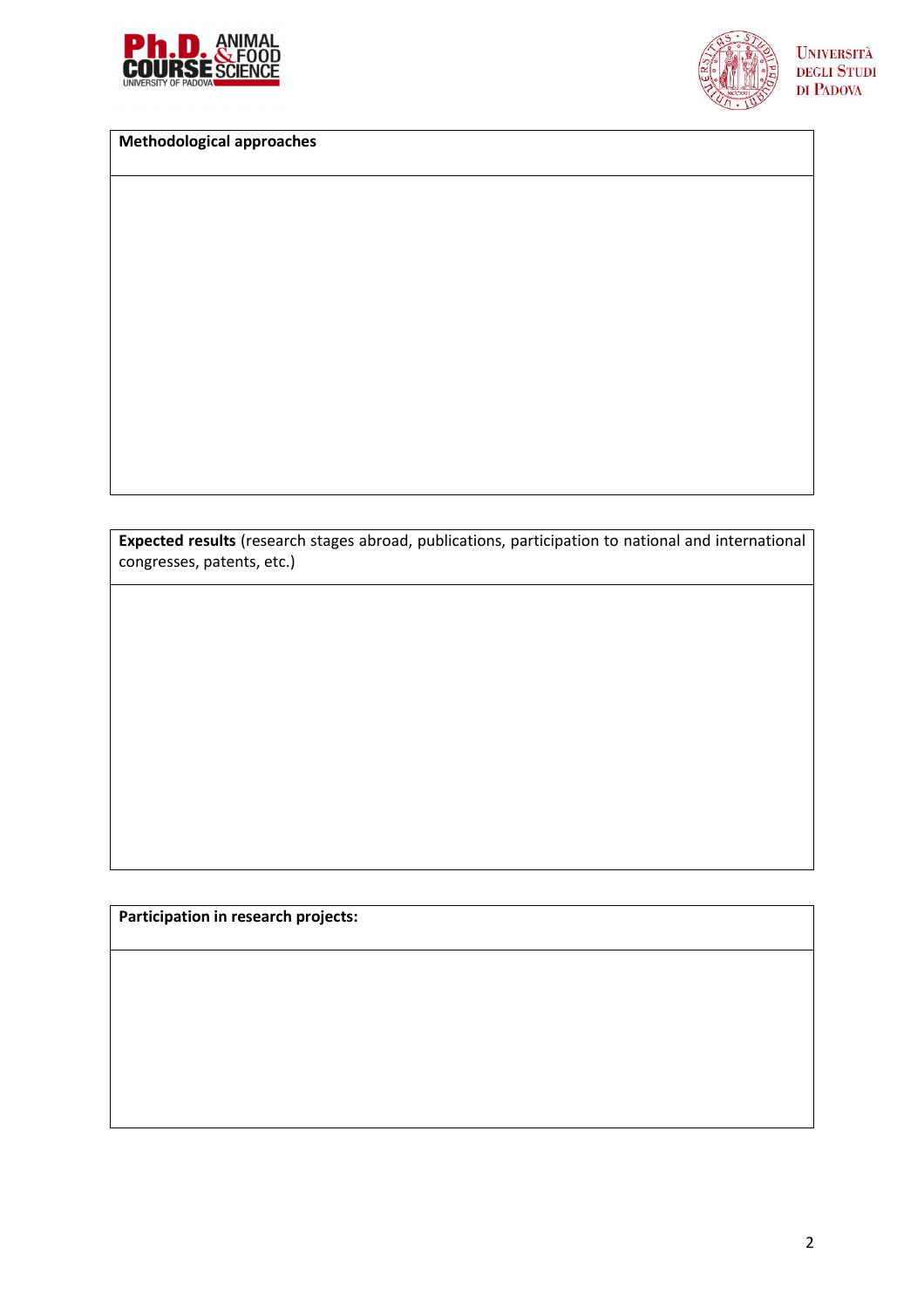



**UNIVERSITÀ DEGLI STUDI** DI PADOVA

**Methodological approaches**

**Expected results** (research stages abroad, publications, participation to national and international congresses, patents, etc.)

**Participation in research projects:**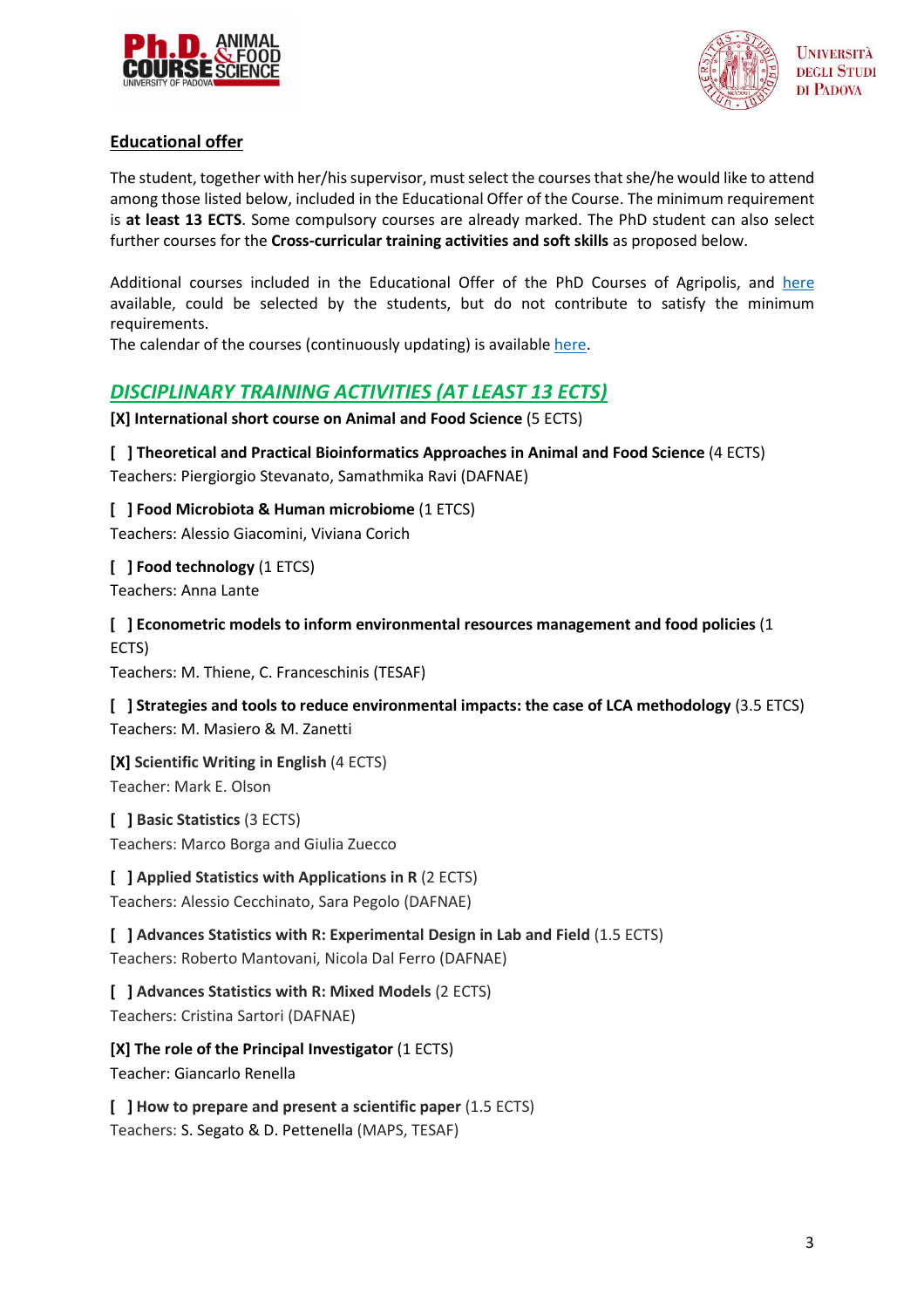



### **Educational offer**

The student, together with her/his supervisor, must select the courses that she/he would like to attend among those listed below, included in the Educational Offer of the Course. The minimum requirement is **at least 13 ECTS**. Some compulsory courses are already marked. The PhD student can also select further courses for the **Cross-curricular training activities and soft skills** as proposed below.

Additional courses included in the Educational Offer of the PhD Courses of Agripolis, and here available, could be selected by the students, but do not contribute to satisfy the minimum requirements.

The calendar of the courses (continuously updating) is available here.

# *DISCIPLINARY TRAINING ACTIVITIES (AT LEAST 13 ECTS)*

**[X] International short course on Animal and Food Science** (5 ECTS)

#### **[ ] Theoretical and Practical Bioinformatics Approaches in Animal and Food Science** (4 ECTS)

Teachers: Piergiorgio Stevanato, Samathmika Ravi (DAFNAE)

**[ ] Food Microbiota & Human microbiome** (1 ETCS)

Teachers: Alessio Giacomini, Viviana Corich

**[ ] Food technology** (1 ETCS) Teachers: Anna Lante

**[ ] Econometric models to inform environmental resources management and food policies** (1 ECTS)

Teachers: M. Thiene, C. Franceschinis (TESAF)

**[ ] Strategies and tools to reduce environmental impacts: the case of LCA methodology** (3.5 ETCS) Teachers: M. Masiero & M. Zanetti

**[X] Scientific Writing in English** (4 ECTS) Teacher: Mark E. Olson

**[ ] Basic Statistics** (3 ECTS) Teachers: Marco Borga and Giulia Zuecco

#### **[ ] Applied Statistics with Applications in R** (2 ECTS)

Teachers: Alessio Cecchinato, Sara Pegolo (DAFNAE)

**[ ] Advances Statistics with R: Experimental Design in Lab and Field** (1.5 ECTS) Teachers: Roberto Mantovani, Nicola Dal Ferro (DAFNAE)

**[ ] Advances Statistics with R: Mixed Models** (2 ECTS) Teachers: Cristina Sartori (DAFNAE)

**[X] The role of the Principal Investigator** (1 ECTS) Teacher: Giancarlo Renella

**[ ] How to prepare and present a scientific paper** (1.5 ECTS) Teachers: S. Segato & D. Pettenella (MAPS, TESAF)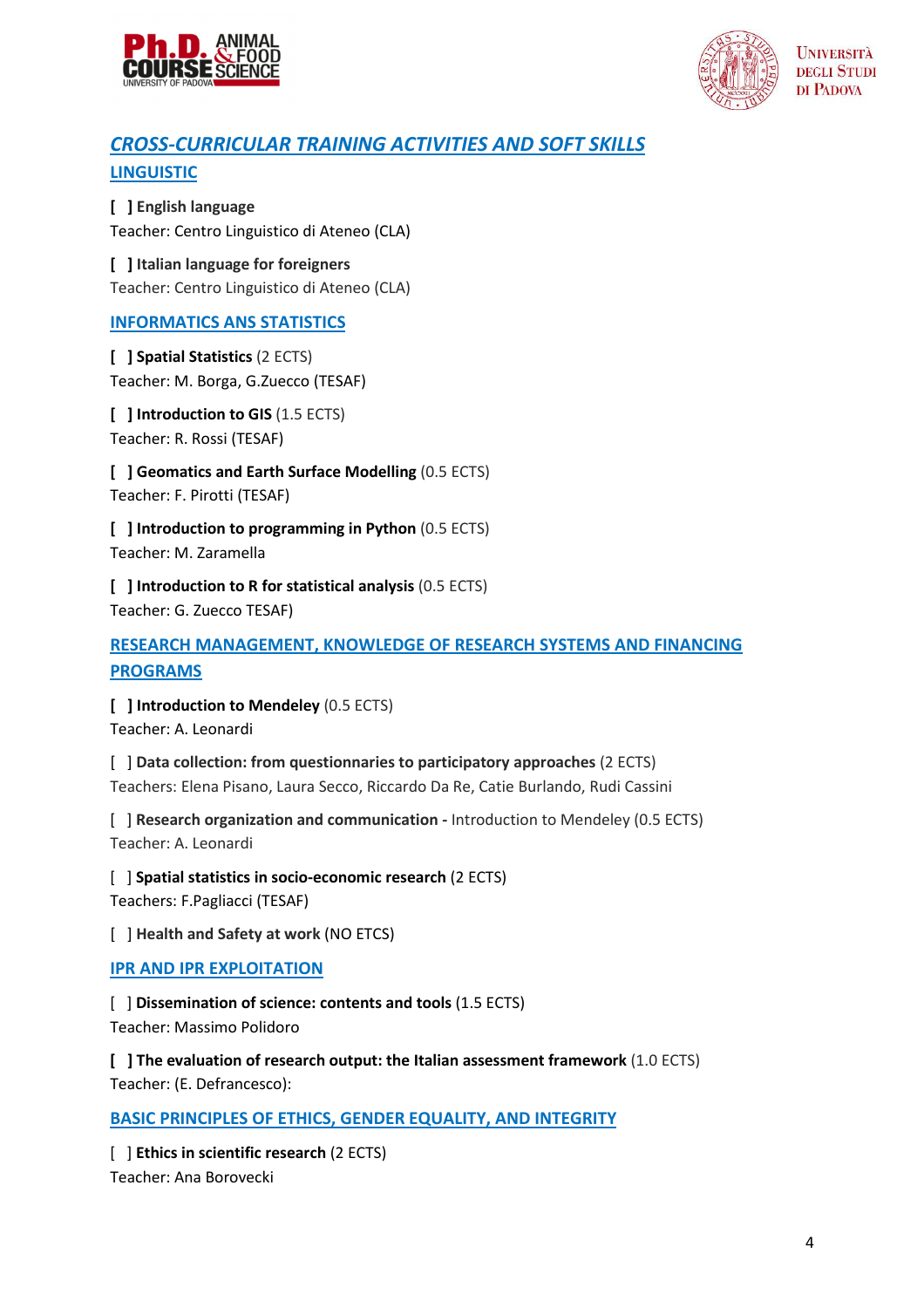





# *CROSS-CURRICULAR TRAINING ACTIVITIES AND SOFT SKILLS* **LINGUISTIC**

**[ ] English language** Teacher: Centro Linguistico di Ateneo (CLA)

**[ ] Italian language for foreigners** Teacher: Centro Linguistico di Ateneo (CLA)

### **INFORMATICS ANS STATISTICS**

**[ ] Spatial Statistics** (2 ECTS) Teacher: M. Borga, G.Zuecco (TESAF)

**[ ] Introduction to GIS** (1.5 ECTS) Teacher: R. Rossi (TESAF)

**[ ] Geomatics and Earth Surface Modelling** (0.5 ECTS) Teacher: F. Pirotti (TESAF)

**[ ] Introduction to programming in Python** (0.5 ECTS) Teacher: M. Zaramella

**[ ] Introduction to R for statistical analysis** (0.5 ECTS) Teacher: G. Zuecco TESAF)

## **RESEARCH MANAGEMENT, KNOWLEDGE OF RESEARCH SYSTEMS AND FINANCING PROGRAMS**

**[ ] Introduction to Mendeley** (0.5 ECTS) Teacher: A. Leonardi

[ ] **Data collection: from questionnaries to participatory approaches** (2 ECTS) Teachers: Elena Pisano, Laura Secco, Riccardo Da Re, Catie Burlando, Rudi Cassini

[ ] **Research organization and communication -** Introduction to Mendeley (0.5 ECTS) Teacher: A. Leonardi

[ ] **Spatial statistics in socio-economic research** (2 ECTS) Teachers: F.Pagliacci (TESAF)

[ ] **Health and Safety at work** (NO ETCS)

**IPR AND IPR EXPLOITATION** 

[ ] **Dissemination of science: contents and tools** (1.5 ECTS) Teacher: Massimo Polidoro

**[ ] The evaluation of research output: the Italian assessment framework** (1.0 ECTS) Teacher: (E. Defrancesco):

**BASIC PRINCIPLES OF ETHICS, GENDER EQUALITY, AND INTEGRITY** 

[ ] **Ethics in scientific research** (2 ECTS) Teacher: Ana Borovecki